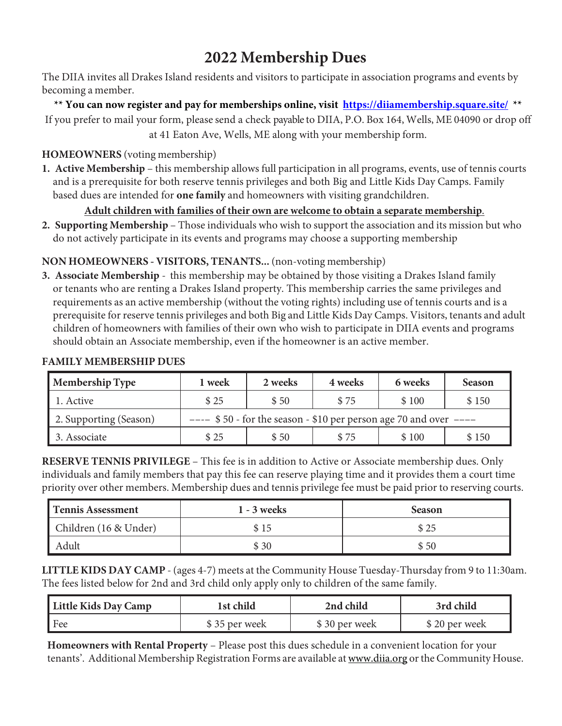# **2022 Membership Dues**

The DIIA invites all Drakes Island residents and visitors to participate in association programs and events by becoming a member.

**\*\* You can now register and pay for memberships online, visit https://diiamembership.square.site/ \*\***  If you prefer to mail your form, please send a check payable to DIIA, P.O. Box 164, Wells, ME 04090 or drop off at 41 Eaton Ave, Wells, ME along with your membership form.

#### **HOMEOWNERS** (voting membership)

**1. Active Membership** – this membership allows full participation in all programs, events, use of tennis courts and is a prerequisite for both reserve tennis privileges and both Big and Little Kids Day Camps. Family based dues are intended for **one family** and homeowners with visiting grandchildren.

#### **Adult children with families of their own are welcome to obtain a separate membership**.

**2. Supporting Membership** – Those individuals who wish to support the association and its mission but who do not actively participate in its events and programs may choose a supporting membership

### **NON HOMEOWNERS - VISITORS, TENANTS...** (non-voting membership)

**3. Associate Membership** - this membership may be obtained by those visiting a Drakes Island family or tenants who are renting a Drakes Island property. This membership carries the same privileges and requirements as an active membership (without the voting rights) including use of tennis courts and is a prerequisite for reserve tennis privileges and both Big and Little Kids Day Camps. Visitors, tenants and adult children of homeowners with families of their own who wish to participate in DIIA events and programs should obtain an Associate membership, even if the homeowner is an active member.

| <b>Membership Type</b> | 1 week                                                              | 2 weeks | 4 weeks | 6 weeks | <b>Season</b> |  |
|------------------------|---------------------------------------------------------------------|---------|---------|---------|---------------|--|
| 1. Active              | \$25                                                                | \$50    | \$75    | \$100   | \$150         |  |
| 2. Supporting (Season) | $---$ \$50 - for the season - \$10 per person age 70 and over $---$ |         |         |         |               |  |
| 3. Associate           | \$25                                                                | \$50    | \$75    | \$100   | \$150         |  |

#### **FAMILY MEMBERSHIP DUES**

**RESERVE TENNIS PRIVILEGE** – This fee is in addition to Active or Associate membership dues. Only individuals and family members that pay this fee can reserve playing time and it provides them a court time priority over other members. Membership dues and tennis privilege fee must be paid prior to reserving courts.

| <b>Tennis Assessment</b> | 1 - 3 weeks | <b>Season</b> |
|--------------------------|-------------|---------------|
| Children (16 & Under)    | \$15        | \$25          |
| Adult                    | \$30        | \$50          |

**LITTLE KIDS DAY CAMP** - (ages 4-7) meets at the Community House Tuesday-Thursday from 9 to 11:30am. The fees listed below for 2nd and 3rd child only apply only to children of the same family.

| Little Kids Day Camp | 1st child     | 2nd child     | 3rd child     |
|----------------------|---------------|---------------|---------------|
| l Fee                | \$35 per week | \$30 per week | \$20 per week |

**Homeowners with Rental Property** – Please post this dues schedule in a convenient location for your tenants'. Additional Membership Registration Forms are available at www.diia.org or the Community House.